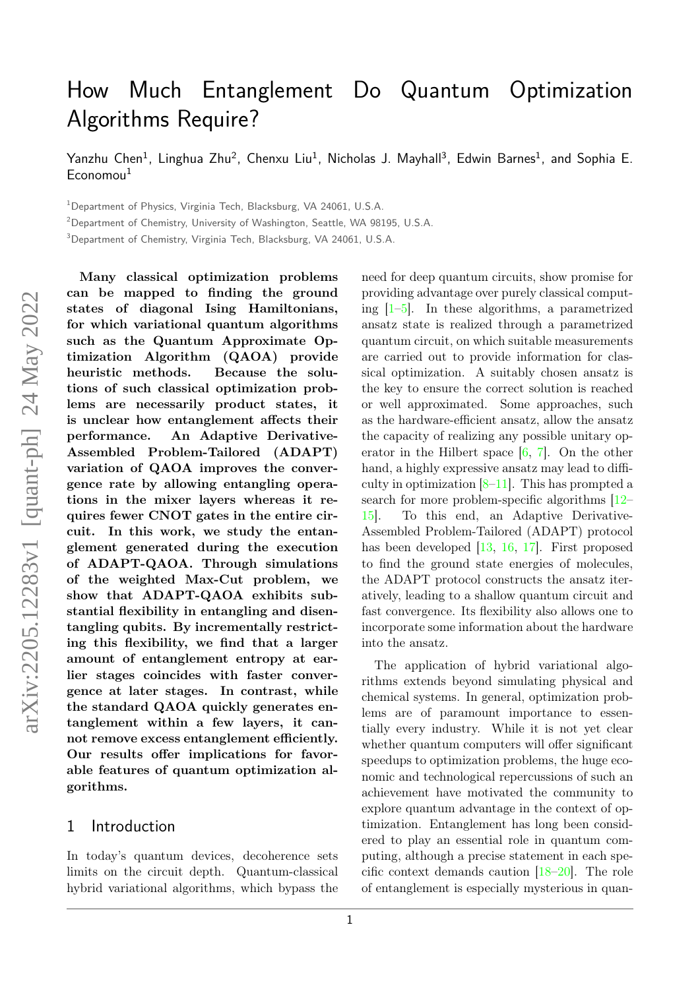# How Much Entanglement Do Quantum Optimization Algorithms Require?

Yanzhu Chen $^1$ , Linghua Zhu $^2$ , Chenxu Liu $^1$ , Nicholas J. Mayhall $^3$ , Edwin Barnes $^1$ , and Sophia E.  $E$ conomou<sup>1</sup>

<sup>1</sup>Department of Physics, Virginia Tech, Blacksburg, VA 24061, U.S.A.

<sup>2</sup>Department of Chemistry, University of Washington, Seattle, WA 98195, U.S.A.

<sup>3</sup>Department of Chemistry, Virginia Tech, Blacksburg, VA 24061, U.S.A.

**Many classical optimization problems can be mapped to finding the ground states of diagonal Ising Hamiltonians, for which variational quantum algorithms such as the Quantum Approximate Optimization Algorithm (QAOA) provide heuristic methods. Because the solutions of such classical optimization problems are necessarily product states, it is unclear how entanglement affects their performance. An Adaptive Derivative-Assembled Problem-Tailored (ADAPT) variation of QAOA improves the convergence rate by allowing entangling operations in the mixer layers whereas it requires fewer CNOT gates in the entire circuit. In this work, we study the entanglement generated during the execution of ADAPT-QAOA. Through simulations of the weighted Max-Cut problem, we show that ADAPT-QAOA exhibits substantial flexibility in entangling and disentangling qubits. By incrementally restricting this flexibility, we find that a larger amount of entanglement entropy at earlier stages coincides with faster convergence at later stages. In contrast, while the standard QAOA quickly generates entanglement within a few layers, it cannot remove excess entanglement efficiently. Our results offer implications for favorable features of quantum optimization algorithms.**

### 1 Introduction

In today's quantum devices, decoherence sets limits on the circuit depth. Quantum-classical hybrid variational algorithms, which bypass the need for deep quantum circuits, show promise for providing advantage over purely classical computing  $\left[1-\overline{5}\right]$ . In these algorithms, a parametrized ansatz state is realized through a parametrized quantum circuit, on which suitable measurements are carried out to provide information for classical optimization. A suitably chosen ansatz is the key to ensure the correct solution is reached or well approximated. Some approaches, such as the hardware-efficient ansatz, allow the ansatz the capacity of realizing any possible unitary operator in the Hilbert space  $[6, 7]$  $[6, 7]$  $[6, 7]$ . On the other hand, a highly expressive ansatz may lead to difficulty in optimization  $[8-11]$  $[8-11]$ . This has prompted a search for more problem-specific algorithms [\[12–](#page-10-5) [15\]](#page-10-6). To this end, an Adaptive Derivative-Assembled Problem-Tailored (ADAPT) protocol has been developed [\[13,](#page-10-7) [16,](#page-10-8) [17\]](#page-10-9). First proposed to find the ground state energies of molecules, the ADAPT protocol constructs the ansatz iteratively, leading to a shallow quantum circuit and fast convergence. Its flexibility also allows one to incorporate some information about the hardware into the ansatz.

The application of hybrid variational algorithms extends beyond simulating physical and chemical systems. In general, optimization problems are of paramount importance to essentially every industry. While it is not yet clear whether quantum computers will offer significant speedups to optimization problems, the huge economic and technological repercussions of such an achievement have motivated the community to explore quantum advantage in the context of optimization. Entanglement has long been considered to play an essential role in quantum computing, although a precise statement in each specific context demands caution [\[18](#page-10-10)[–20\]](#page-10-11). The role of entanglement is especially mysterious in quan-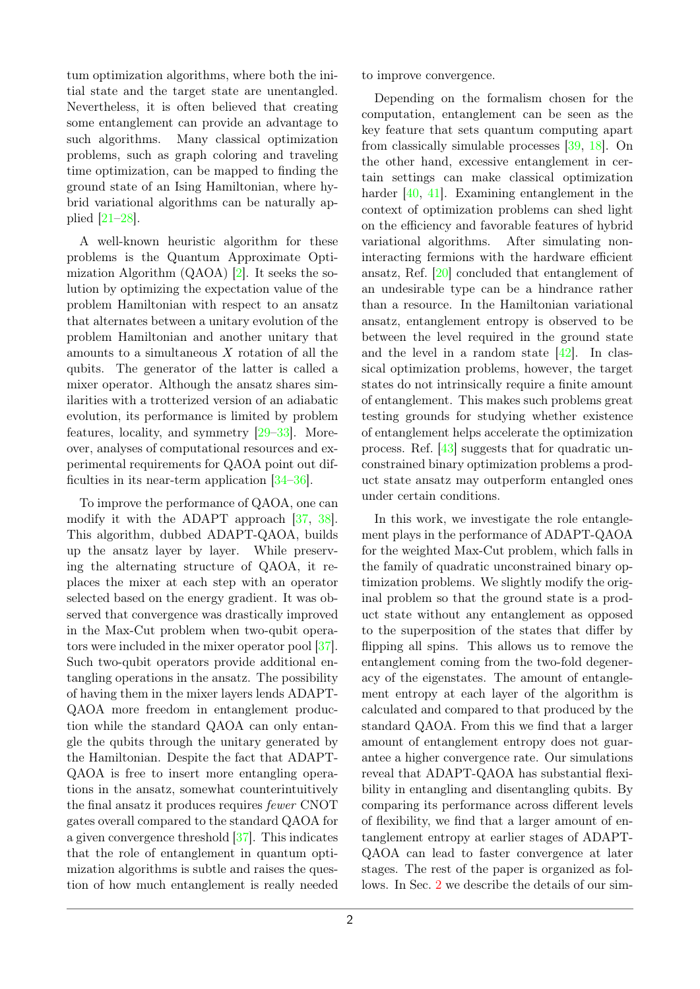tum optimization algorithms, where both the initial state and the target state are unentangled. Nevertheless, it is often believed that creating some entanglement can provide an advantage to such algorithms. Many classical optimization problems, such as graph coloring and traveling time optimization, can be mapped to finding the ground state of an Ising Hamiltonian, where hybrid variational algorithms can be naturally applied [\[21–](#page-10-12)[28\]](#page-10-13).

A well-known heuristic algorithm for these problems is the Quantum Approximate Optimization Algorithm (QAOA) [\[2\]](#page-9-1). It seeks the solution by optimizing the expectation value of the problem Hamiltonian with respect to an ansatz that alternates between a unitary evolution of the problem Hamiltonian and another unitary that amounts to a simultaneous *X* rotation of all the qubits. The generator of the latter is called a mixer operator. Although the ansatz shares similarities with a trotterized version of an adiabatic evolution, its performance is limited by problem features, locality, and symmetry [\[29–](#page-10-14)[33\]](#page-10-15). Moreover, analyses of computational resources and experimental requirements for QAOA point out difficulties in its near-term application [\[34–](#page-10-16)[36\]](#page-10-17).

To improve the performance of QAOA, one can modify it with the ADAPT approach [\[37,](#page-11-0) [38\]](#page-11-1). This algorithm, dubbed ADAPT-QAOA, builds up the ansatz layer by layer. While preserving the alternating structure of QAOA, it replaces the mixer at each step with an operator selected based on the energy gradient. It was observed that convergence was drastically improved in the Max-Cut problem when two-qubit operators were included in the mixer operator pool [\[37\]](#page-11-0). Such two-qubit operators provide additional entangling operations in the ansatz. The possibility of having them in the mixer layers lends ADAPT-QAOA more freedom in entanglement production while the standard QAOA can only entangle the qubits through the unitary generated by the Hamiltonian. Despite the fact that ADAPT-QAOA is free to insert more entangling operations in the ansatz, somewhat counterintuitively the final ansatz it produces requires fewer CNOT gates overall compared to the standard QAOA for a given convergence threshold [\[37\]](#page-11-0). This indicates that the role of entanglement in quantum optimization algorithms is subtle and raises the question of how much entanglement is really needed to improve convergence.

Depending on the formalism chosen for the computation, entanglement can be seen as the key feature that sets quantum computing apart from classically simulable processes [\[39,](#page-11-2) [18\]](#page-10-10). On the other hand, excessive entanglement in certain settings can make classical optimization harder [\[40,](#page-11-3) [41\]](#page-11-4). Examining entanglement in the context of optimization problems can shed light on the efficiency and favorable features of hybrid variational algorithms. After simulating noninteracting fermions with the hardware efficient ansatz, Ref. [\[20\]](#page-10-11) concluded that entanglement of an undesirable type can be a hindrance rather than a resource. In the Hamiltonian variational ansatz, entanglement entropy is observed to be between the level required in the ground state and the level in a random state [\[42\]](#page-11-5). In classical optimization problems, however, the target states do not intrinsically require a finite amount of entanglement. This makes such problems great testing grounds for studying whether existence of entanglement helps accelerate the optimization process. Ref. [\[43\]](#page-11-6) suggests that for quadratic unconstrained binary optimization problems a product state ansatz may outperform entangled ones under certain conditions.

In this work, we investigate the role entanglement plays in the performance of ADAPT-QAOA for the weighted Max-Cut problem, which falls in the family of quadratic unconstrained binary optimization problems. We slightly modify the original problem so that the ground state is a product state without any entanglement as opposed to the superposition of the states that differ by flipping all spins. This allows us to remove the entanglement coming from the two-fold degeneracy of the eigenstates. The amount of entanglement entropy at each layer of the algorithm is calculated and compared to that produced by the standard QAOA. From this we find that a larger amount of entanglement entropy does not guarantee a higher convergence rate. Our simulations reveal that ADAPT-QAOA has substantial flexibility in entangling and disentangling qubits. By comparing its performance across different levels of flexibility, we find that a larger amount of entanglement entropy at earlier stages of ADAPT-QAOA can lead to faster convergence at later stages. The rest of the paper is organized as follows. In Sec. [2](#page-2-0) we describe the details of our sim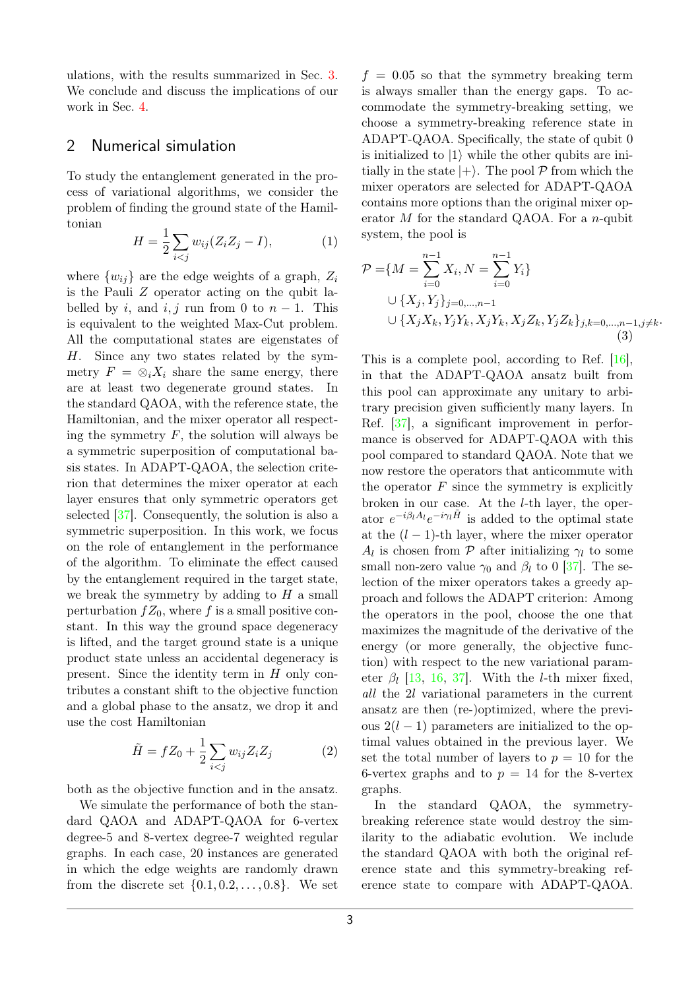ulations, with the results summarized in Sec. [3.](#page-3-0) We conclude and discuss the implications of our work in Sec. [4.](#page-7-0)

## <span id="page-2-0"></span>2 Numerical simulation

To study the entanglement generated in the process of variational algorithms, we consider the problem of finding the ground state of the Hamiltonian

$$
H = \frac{1}{2} \sum_{i < j} w_{ij} (Z_i Z_j - I), \tag{1}
$$

where  $\{w_{ij}\}\$ are the edge weights of a graph,  $Z_i$ is the Pauli *Z* operator acting on the qubit labelled by *i*, and *i*, *j* run from 0 to  $n-1$ . This is equivalent to the weighted Max-Cut problem. All the computational states are eigenstates of *H*. Since any two states related by the symmetry  $F = \otimes_i X_i$  share the same energy, there are at least two degenerate ground states. In the standard QAOA, with the reference state, the Hamiltonian, and the mixer operator all respecting the symmetry  $F$ , the solution will always be a symmetric superposition of computational basis states. In ADAPT-QAOA, the selection criterion that determines the mixer operator at each layer ensures that only symmetric operators get selected [\[37\]](#page-11-0). Consequently, the solution is also a symmetric superposition. In this work, we focus on the role of entanglement in the performance of the algorithm. To eliminate the effect caused by the entanglement required in the target state, we break the symmetry by adding to *H* a small perturbation  $fZ_0$ , where f is a small positive constant. In this way the ground space degeneracy is lifted, and the target ground state is a unique product state unless an accidental degeneracy is present. Since the identity term in *H* only contributes a constant shift to the objective function and a global phase to the ansatz, we drop it and use the cost Hamiltonian

$$
\tilde{H} = fZ_0 + \frac{1}{2} \sum_{i < j} w_{ij} Z_i Z_j \tag{2}
$$

both as the objective function and in the ansatz.

We simulate the performance of both the standard QAOA and ADAPT-QAOA for 6-vertex degree-5 and 8-vertex degree-7 weighted regular graphs. In each case, 20 instances are generated in which the edge weights are randomly drawn from the discrete set {0*.*1*,* 0*.*2*, . . . ,* 0*.*8}. We set

 $f = 0.05$  so that the symmetry breaking term is always smaller than the energy gaps. To accommodate the symmetry-breaking setting, we choose a symmetry-breaking reference state in ADAPT-QAOA. Specifically, the state of qubit 0 is initialized to  $|1\rangle$  while the other qubits are initially in the state  $|+\rangle$ . The pool  $P$  from which the mixer operators are selected for ADAPT-QAOA contains more options than the original mixer operator *M* for the standard QAOA. For a *n*-qubit system, the pool is

$$
\mathcal{P} = \{M = \sum_{i=0}^{n-1} X_i, N = \sum_{i=0}^{n-1} Y_i\}
$$
  

$$
\cup \{X_j, Y_j\}_{j=0,\dots,n-1}
$$
  

$$
\cup \{X_j X_k, Y_j Y_k, X_j Y_k, X_j Z_k, Y_j Z_k\}_{j,k=0,\dots,n-1, j\neq k}.
$$
  
(3)

This is a complete pool, according to Ref. [\[16\]](#page-10-8), in that the ADAPT-QAOA ansatz built from this pool can approximate any unitary to arbitrary precision given sufficiently many layers. In Ref. [\[37\]](#page-11-0), a significant improvement in performance is observed for ADAPT-QAOA with this pool compared to standard QAOA. Note that we now restore the operators that anticommute with the operator  $F$  since the symmetry is explicitly broken in our case. At the *l*-th layer, the operator  $e^{-i\beta_l A_l}e^{-i\gamma_l \tilde{H}}$  is added to the optimal state at the  $(l-1)$ -th layer, where the mixer operator *A*<sup>*l*</sup> is chosen from  $P$  after initializing  $\gamma$ <sup>*l*</sup> to some small non-zero value  $\gamma_0$  and  $\beta_l$  to 0 [\[37\]](#page-11-0). The selection of the mixer operators takes a greedy approach and follows the ADAPT criterion: Among the operators in the pool, choose the one that maximizes the magnitude of the derivative of the energy (or more generally, the objective function) with respect to the new variational parameter  $\beta_l$  [\[13,](#page-10-7) [16,](#page-10-8) [37\]](#page-11-0). With the *l*-th mixer fixed, all the 2*l* variational parameters in the current ansatz are then (re-)optimized, where the previous  $2(l-1)$  parameters are initialized to the optimal values obtained in the previous layer. We set the total number of layers to  $p = 10$  for the 6-vertex graphs and to  $p = 14$  for the 8-vertex graphs.

In the standard QAOA, the symmetrybreaking reference state would destroy the similarity to the adiabatic evolution. We include the standard QAOA with both the original reference state and this symmetry-breaking reference state to compare with ADAPT-QAOA.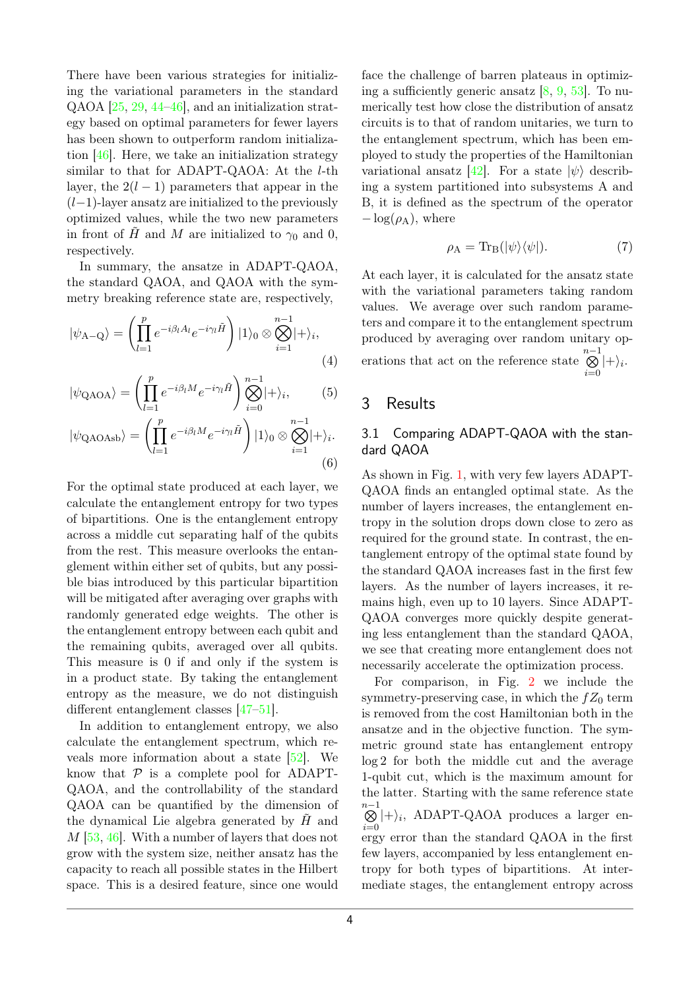There have been various strategies for initializing the variational parameters in the standard QAOA [\[25,](#page-10-18) [29,](#page-10-14) [44–](#page-11-7)[46\]](#page-11-8), and an initialization strategy based on optimal parameters for fewer layers has been shown to outperform random initialization  $[46]$ . Here, we take an initialization strategy similar to that for ADAPT-QAOA: At the *l*-th layer, the  $2(l-1)$  parameters that appear in the (*l*−1)-layer ansatz are initialized to the previously optimized values, while the two new parameters in front of *H* and *M* are initialized to  $\gamma_0$  and 0, respectively.

In summary, the ansatze in ADAPT-QAOA, the standard QAOA, and QAOA with the symmetry breaking reference state are, respectively,

$$
|\psi_{A-Q}\rangle = \left(\prod_{l=1}^p e^{-i\beta_l A_l} e^{-i\gamma_l \tilde{H}}\right) |1\rangle_0 \otimes \bigotimes_{i=1}^{n-1} |\!+\rangle_i,
$$
\n(4)

$$
|\psi_{\rm QAOA}\rangle = \left(\prod_{l=1}^{p} e^{-i\beta_l M} e^{-i\gamma_l \tilde{H}}\right) \bigotimes_{i=0}^{n-1} |\phi_i\rangle, \tag{5}
$$

$$
|\psi_{\text{QAOAsb}}\rangle = \left(\prod_{l=1}^{p} e^{-i\beta_l M} e^{-i\gamma_l \tilde{H}}\right) |1\rangle_0 \otimes \bigotimes_{i=1}^{n-1} |\phi_i\rangle_0.
$$
\n(6)

For the optimal state produced at each layer, we calculate the entanglement entropy for two types of bipartitions. One is the entanglement entropy across a middle cut separating half of the qubits from the rest. This measure overlooks the entanglement within either set of qubits, but any possible bias introduced by this particular bipartition will be mitigated after averaging over graphs with randomly generated edge weights. The other is the entanglement entropy between each qubit and the remaining qubits, averaged over all qubits. This measure is 0 if and only if the system is in a product state. By taking the entanglement entropy as the measure, we do not distinguish different entanglement classes [\[47–](#page-11-9)[51\]](#page-11-10).

In addition to entanglement entropy, we also calculate the entanglement spectrum, which reveals more information about a state [\[52\]](#page-11-11). We know that  $P$  is a complete pool for ADAPT-QAOA, and the controllability of the standard QAOA can be quantified by the dimension of the dynamical Lie algebra generated by *H*˜ and *M* [\[53,](#page-11-12) [46\]](#page-11-8). With a number of layers that does not grow with the system size, neither ansatz has the capacity to reach all possible states in the Hilbert space. This is a desired feature, since one would face the challenge of barren plateaus in optimizing a sufficiently generic ansatz  $[8, 9, 53]$  $[8, 9, 53]$  $[8, 9, 53]$  $[8, 9, 53]$  $[8, 9, 53]$ . To numerically test how close the distribution of ansatz circuits is to that of random unitaries, we turn to the entanglement spectrum, which has been employed to study the properties of the Hamiltonian variational ansatz  $[42]$ . For a state  $|\psi\rangle$  describing a system partitioned into subsystems A and B, it is defined as the spectrum of the operator  $-\log(\rho_A)$ , where

$$
\rho_A = \text{Tr}_B(|\psi\rangle\langle\psi|). \tag{7}
$$

At each layer, it is calculated for the ansatz state with the variational parameters taking random values. We average over such random parameters and compare it to the entanglement spectrum produced by averaging over random unitary operations that act on the reference state  $\bigotimes^{n-1}$  $\bigotimes_{i=0}$  |+ $\rangle_i$ .

## <span id="page-3-0"></span>3 Results

#### 3.1 Comparing ADAPT-QAOA with the standard QAOA

As shown in Fig. [1,](#page-4-0) with very few layers ADAPT-QAOA finds an entangled optimal state. As the number of layers increases, the entanglement entropy in the solution drops down close to zero as required for the ground state. In contrast, the entanglement entropy of the optimal state found by the standard QAOA increases fast in the first few layers. As the number of layers increases, it remains high, even up to 10 layers. Since ADAPT-QAOA converges more quickly despite generating less entanglement than the standard QAOA, we see that creating more entanglement does not necessarily accelerate the optimization process.

For comparison, in Fig. [2](#page-5-0) we include the symmetry-preserving case, in which the  $fZ_0$  term is removed from the cost Hamiltonian both in the ansatze and in the objective function. The symmetric ground state has entanglement entropy log 2 for both the middle cut and the average 1-qubit cut, which is the maximum amount for the latter. Starting with the same reference state n<sup>-1</sup>  $\bigotimes^{n-1}|+\rangle_i$ , ADAPT-QAOA produces a larger en $i=0$ ergy error than the standard QAOA in the first few layers, accompanied by less entanglement entropy for both types of bipartitions. At intermediate stages, the entanglement entropy across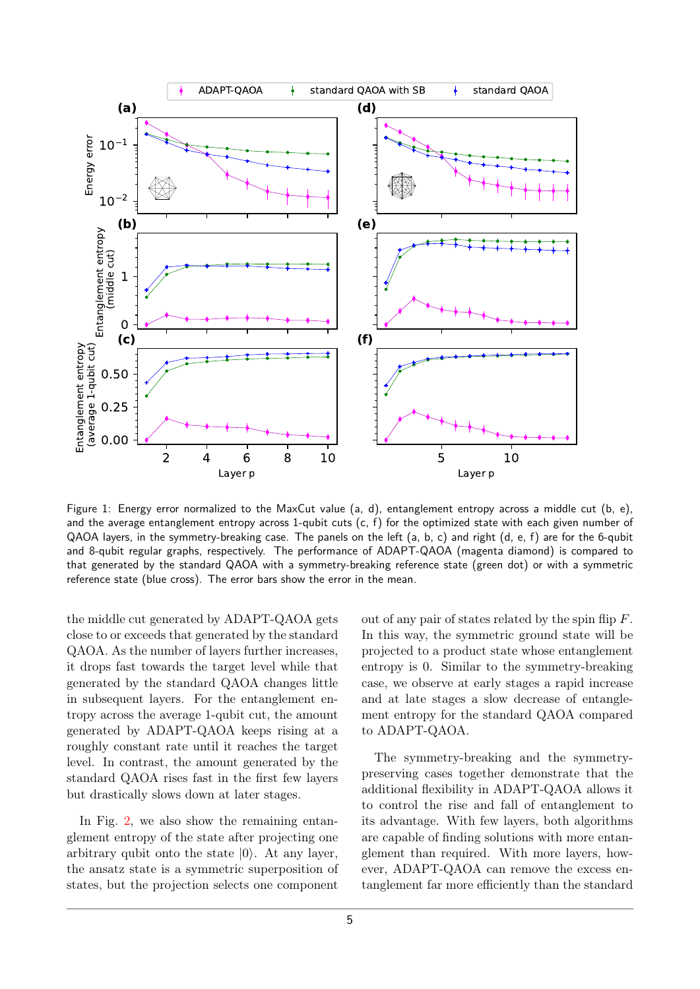<span id="page-4-0"></span>

Figure 1: Energy error normalized to the MaxCut value (a, d), entanglement entropy across a middle cut (b, e), and the average entanglement entropy across 1-qubit cuts  $(c, f)$  for the optimized state with each given number of QAOA layers, in the symmetry-breaking case. The panels on the left (a, b, c) and right (d, e, f) are for the 6-qubit and 8-qubit regular graphs, respectively. The performance of ADAPT-QAOA (magenta diamond) is compared to that generated by the standard QAOA with a symmetry-breaking reference state (green dot) or with a symmetric reference state (blue cross). The error bars show the error in the mean.

the middle cut generated by ADAPT-QAOA gets close to or exceeds that generated by the standard QAOA. As the number of layers further increases, it drops fast towards the target level while that generated by the standard QAOA changes little in subsequent layers. For the entanglement entropy across the average 1-qubit cut, the amount generated by ADAPT-QAOA keeps rising at a roughly constant rate until it reaches the target level. In contrast, the amount generated by the standard QAOA rises fast in the first few layers but drastically slows down at later stages.

In Fig. [2,](#page-5-0) we also show the remaining entanglement entropy of the state after projecting one arbitrary qubit onto the state  $|0\rangle$ . At any layer, the ansatz state is a symmetric superposition of states, but the projection selects one component out of any pair of states related by the spin flip *F*. In this way, the symmetric ground state will be projected to a product state whose entanglement entropy is 0. Similar to the symmetry-breaking case, we observe at early stages a rapid increase and at late stages a slow decrease of entanglement entropy for the standard QAOA compared to ADAPT-QAOA.

The symmetry-breaking and the symmetrypreserving cases together demonstrate that the additional flexibility in ADAPT-QAOA allows it to control the rise and fall of entanglement to its advantage. With few layers, both algorithms are capable of finding solutions with more entanglement than required. With more layers, however, ADAPT-QAOA can remove the excess entanglement far more efficiently than the standard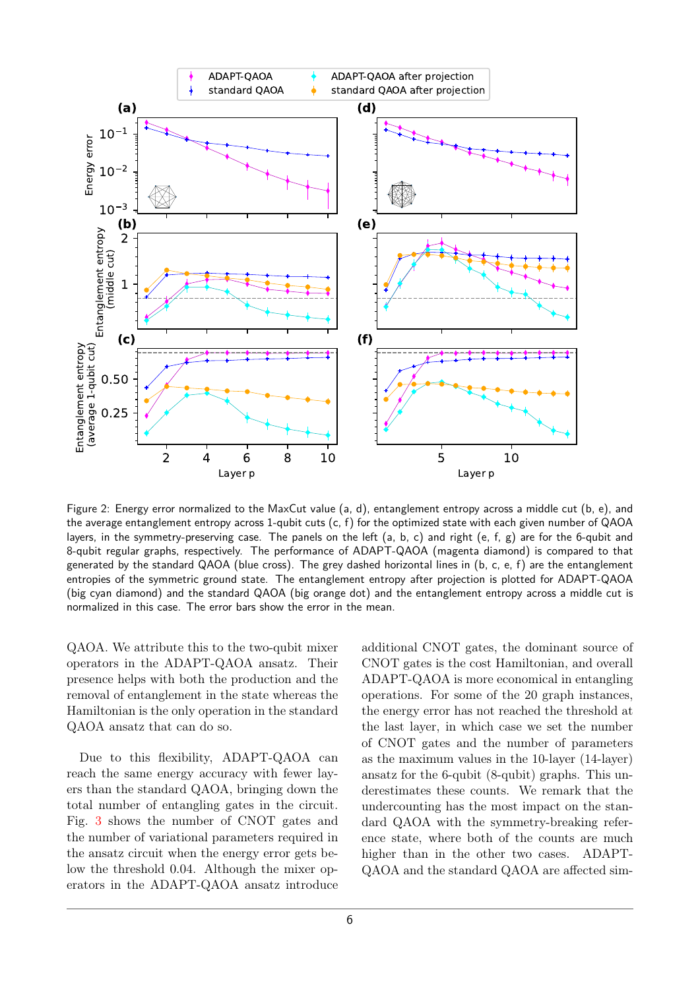<span id="page-5-0"></span>

Figure 2: Energy error normalized to the MaxCut value (a, d), entanglement entropy across a middle cut (b, e), and the average entanglement entropy across 1-qubit cuts (c, f) for the optimized state with each given number of QAOA layers, in the symmetry-preserving case. The panels on the left (a, b, c) and right (e, f, g) are for the 6-qubit and 8-qubit regular graphs, respectively. The performance of ADAPT-QAOA (magenta diamond) is compared to that generated by the standard QAOA (blue cross). The grey dashed horizontal lines in (b, c, e, f) are the entanglement entropies of the symmetric ground state. The entanglement entropy after projection is plotted for ADAPT-QAOA (big cyan diamond) and the standard QAOA (big orange dot) and the entanglement entropy across a middle cut is normalized in this case. The error bars show the error in the mean.

QAOA. We attribute this to the two-qubit mixer operators in the ADAPT-QAOA ansatz. Their presence helps with both the production and the removal of entanglement in the state whereas the Hamiltonian is the only operation in the standard QAOA ansatz that can do so.

Due to this flexibility, ADAPT-QAOA can reach the same energy accuracy with fewer layers than the standard QAOA, bringing down the total number of entangling gates in the circuit. Fig. [3](#page-6-0) shows the number of CNOT gates and the number of variational parameters required in the ansatz circuit when the energy error gets below the threshold 0*.*04. Although the mixer operators in the ADAPT-QAOA ansatz introduce additional CNOT gates, the dominant source of CNOT gates is the cost Hamiltonian, and overall ADAPT-QAOA is more economical in entangling operations. For some of the 20 graph instances, the energy error has not reached the threshold at the last layer, in which case we set the number of CNOT gates and the number of parameters as the maximum values in the 10-layer (14-layer) ansatz for the 6-qubit (8-qubit) graphs. This underestimates these counts. We remark that the undercounting has the most impact on the standard QAOA with the symmetry-breaking reference state, where both of the counts are much higher than in the other two cases. ADAPT-QAOA and the standard QAOA are affected sim-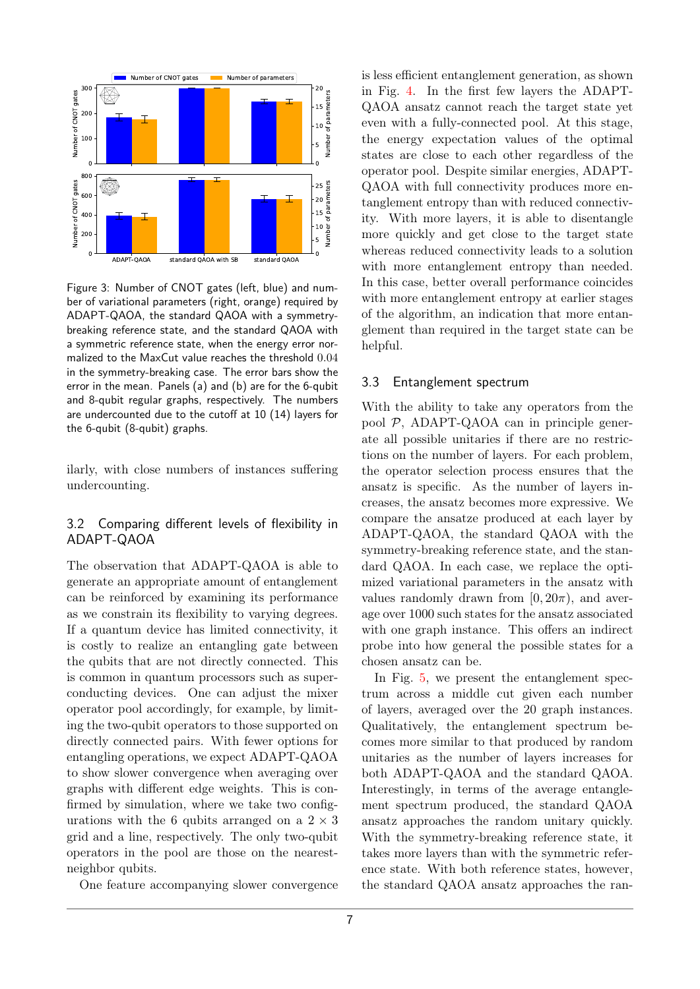<span id="page-6-0"></span>

Figure 3: Number of CNOT gates (left, blue) and number of variational parameters (right, orange) required by ADAPT-QAOA, the standard QAOA with a symmetrybreaking reference state, and the standard QAOA with a symmetric reference state, when the energy error normalized to the MaxCut value reaches the threshold 0*.*04 in the symmetry-breaking case. The error bars show the error in the mean. Panels (a) and (b) are for the 6-qubit and 8-qubit regular graphs, respectively. The numbers are undercounted due to the cutoff at 10 (14) layers for the 6-qubit (8-qubit) graphs.

ilarly, with close numbers of instances suffering undercounting.

#### 3.2 Comparing different levels of flexibility in ADAPT-QAOA

The observation that ADAPT-QAOA is able to generate an appropriate amount of entanglement can be reinforced by examining its performance as we constrain its flexibility to varying degrees. If a quantum device has limited connectivity, it is costly to realize an entangling gate between the qubits that are not directly connected. This is common in quantum processors such as superconducting devices. One can adjust the mixer operator pool accordingly, for example, by limiting the two-qubit operators to those supported on directly connected pairs. With fewer options for entangling operations, we expect ADAPT-QAOA to show slower convergence when averaging over graphs with different edge weights. This is confirmed by simulation, where we take two configurations with the 6 qubits arranged on a  $2 \times 3$ grid and a line, respectively. The only two-qubit operators in the pool are those on the nearestneighbor qubits.

One feature accompanying slower convergence

is less efficient entanglement generation, as shown in Fig. [4.](#page-7-1) In the first few layers the ADAPT-QAOA ansatz cannot reach the target state yet even with a fully-connected pool. At this stage, the energy expectation values of the optimal states are close to each other regardless of the operator pool. Despite similar energies, ADAPT-QAOA with full connectivity produces more entanglement entropy than with reduced connectivity. With more layers, it is able to disentangle more quickly and get close to the target state whereas reduced connectivity leads to a solution with more entanglement entropy than needed. In this case, better overall performance coincides with more entanglement entropy at earlier stages of the algorithm, an indication that more entanglement than required in the target state can be helpful.

#### 3.3 Entanglement spectrum

With the ability to take any operators from the pool P, ADAPT-QAOA can in principle generate all possible unitaries if there are no restrictions on the number of layers. For each problem, the operator selection process ensures that the ansatz is specific. As the number of layers increases, the ansatz becomes more expressive. We compare the ansatze produced at each layer by ADAPT-QAOA, the standard QAOA with the symmetry-breaking reference state, and the standard QAOA. In each case, we replace the optimized variational parameters in the ansatz with values randomly drawn from  $[0, 20\pi)$ , and average over 1000 such states for the ansatz associated with one graph instance. This offers an indirect probe into how general the possible states for a chosen ansatz can be.

In Fig. [5,](#page-8-0) we present the entanglement spectrum across a middle cut given each number of layers, averaged over the 20 graph instances. Qualitatively, the entanglement spectrum becomes more similar to that produced by random unitaries as the number of layers increases for both ADAPT-QAOA and the standard QAOA. Interestingly, in terms of the average entanglement spectrum produced, the standard QAOA ansatz approaches the random unitary quickly. With the symmetry-breaking reference state, it takes more layers than with the symmetric reference state. With both reference states, however, the standard QAOA ansatz approaches the ran-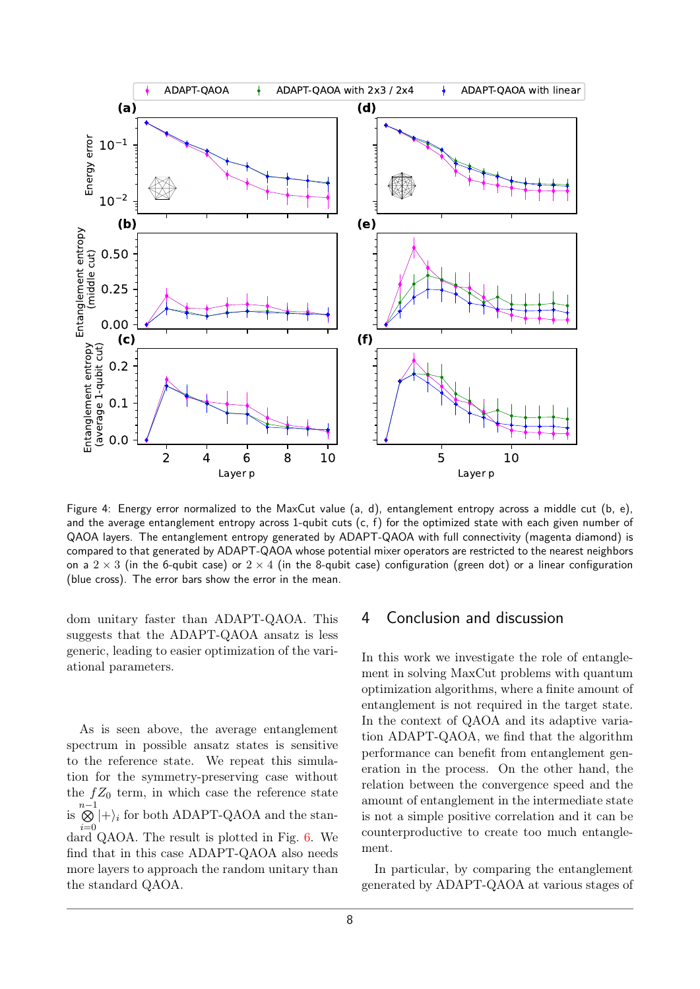<span id="page-7-1"></span>

Figure 4: Energy error normalized to the MaxCut value (a, d), entanglement entropy across a middle cut (b, e), and the average entanglement entropy across 1-qubit cuts  $(c, f)$  for the optimized state with each given number of QAOA layers. The entanglement entropy generated by ADAPT-QAOA with full connectivity (magenta diamond) is compared to that generated by ADAPT-QAOA whose potential mixer operators are restricted to the nearest neighbors on a  $2 \times 3$  (in the 6-qubit case) or  $2 \times 4$  (in the 8-qubit case) configuration (green dot) or a linear configuration (blue cross). The error bars show the error in the mean.

dom unitary faster than ADAPT-QAOA. This suggests that the ADAPT-QAOA ansatz is less generic, leading to easier optimization of the variational parameters.

As is seen above, the average entanglement spectrum in possible ansatz states is sensitive to the reference state. We repeat this simulation for the symmetry-preserving case without the  $fZ_0$  term, in which case the reference state is  $\stackrel{n-1}{\otimes}$  $\bigotimes_{i=0} |+\rangle_i$  for both ADAPT-QAOA and the standard QAOA. The result is plotted in Fig. [6.](#page-9-2) We find that in this case ADAPT-QAOA also needs more layers to approach the random unitary than the standard QAOA.

#### <span id="page-7-0"></span>4 Conclusion and discussion

In this work we investigate the role of entanglement in solving MaxCut problems with quantum optimization algorithms, where a finite amount of entanglement is not required in the target state. In the context of QAOA and its adaptive variation ADAPT-QAOA, we find that the algorithm performance can benefit from entanglement generation in the process. On the other hand, the relation between the convergence speed and the amount of entanglement in the intermediate state is not a simple positive correlation and it can be counterproductive to create too much entanglement.

In particular, by comparing the entanglement generated by ADAPT-QAOA at various stages of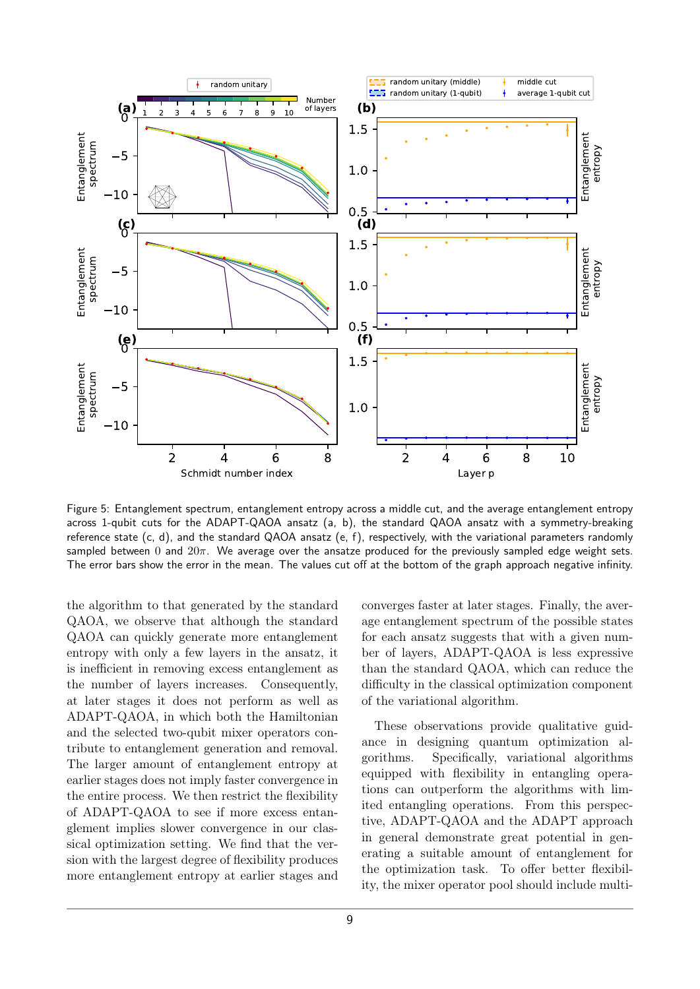<span id="page-8-0"></span>

Figure 5: Entanglement spectrum, entanglement entropy across a middle cut, and the average entanglement entropy across 1-qubit cuts for the ADAPT-QAOA ansatz (a, b), the standard QAOA ansatz with a symmetry-breaking reference state (c, d), and the standard QAOA ansatz (e, f), respectively, with the variational parameters randomly sampled between 0 and 20*π*. We average over the ansatze produced for the previously sampled edge weight sets. The error bars show the error in the mean. The values cut off at the bottom of the graph approach negative infinity.

the algorithm to that generated by the standard QAOA, we observe that although the standard QAOA can quickly generate more entanglement entropy with only a few layers in the ansatz, it is inefficient in removing excess entanglement as the number of layers increases. Consequently, at later stages it does not perform as well as ADAPT-QAOA, in which both the Hamiltonian and the selected two-qubit mixer operators contribute to entanglement generation and removal. The larger amount of entanglement entropy at earlier stages does not imply faster convergence in the entire process. We then restrict the flexibility of ADAPT-QAOA to see if more excess entanglement implies slower convergence in our classical optimization setting. We find that the version with the largest degree of flexibility produces more entanglement entropy at earlier stages and

converges faster at later stages. Finally, the average entanglement spectrum of the possible states for each ansatz suggests that with a given number of layers, ADAPT-QAOA is less expressive than the standard QAOA, which can reduce the difficulty in the classical optimization component of the variational algorithm.

These observations provide qualitative guidance in designing quantum optimization algorithms. Specifically, variational algorithms equipped with flexibility in entangling operations can outperform the algorithms with limited entangling operations. From this perspective, ADAPT-QAOA and the ADAPT approach in general demonstrate great potential in generating a suitable amount of entanglement for the optimization task. To offer better flexibility, the mixer operator pool should include multi-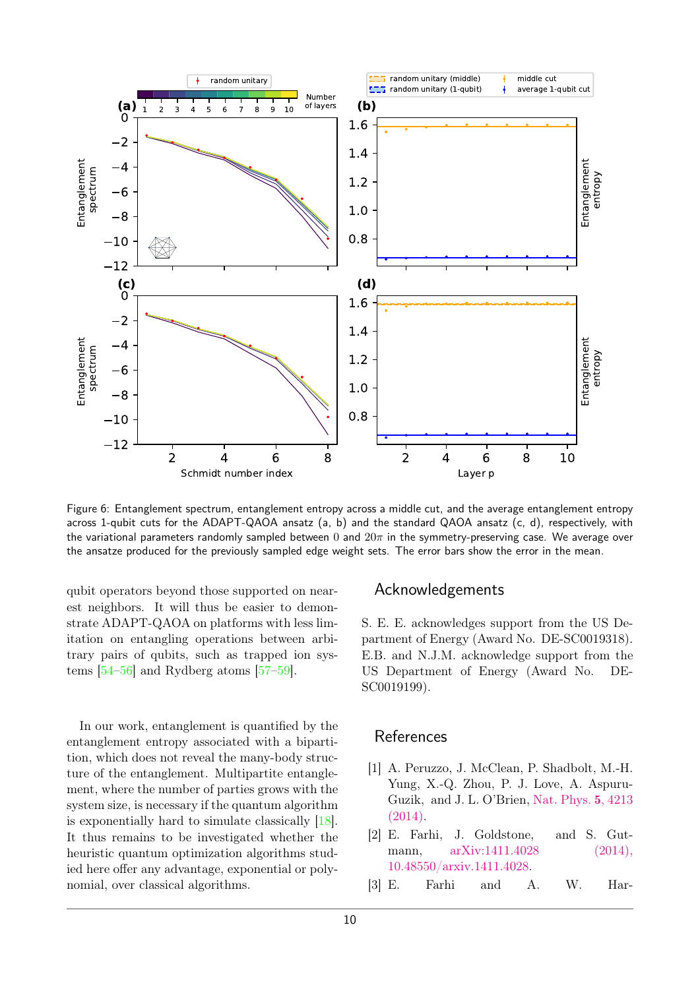<span id="page-9-2"></span>

Figure 6: Entanglement spectrum, entanglement entropy across a middle cut, and the average entanglement entropy across 1-qubit cuts for the ADAPT-QAOA ansatz (a, b) and the standard QAOA ansatz (c, d), respectively, with the variational parameters randomly sampled between 0 and 20*π* in the symmetry-preserving case. We average over the ansatze produced for the previously sampled edge weight sets. The error bars show the error in the mean.

qubit operators beyond those supported on nearest neighbors. It will thus be easier to demonstrate ADAPT-QAOA on platforms with less limitation on entangling operations between arbitrary pairs of qubits, such as trapped ion systems [\[54–](#page-11-13)[56\]](#page-11-14) and Rydberg atoms [\[57–](#page-11-15)[59\]](#page-11-16).

In our work, entanglement is quantified by the entanglement entropy associated with a bipartition, which does not reveal the many-body structure of the entanglement. Multipartite entanglement, where the number of parties grows with the system size, is necessary if the quantum algorithm is exponentially hard to simulate classically [\[18\]](#page-10-10). It thus remains to be investigated whether the heuristic quantum optimization algorithms studied here offer any advantage, exponential or polynomial, over classical algorithms.

## Acknowledgements

S. E. E. acknowledges support from the US Department of Energy (Award No. DE-SC0019318). E.B. and N.J.M. acknowledge support from the US Department of Energy (Award No. DE-SC0019199).

#### References

- <span id="page-9-0"></span>[1] A. Peruzzo, J. McClean, P. Shadbolt, M.-H. Yung, X.-Q. Zhou, P. J. Love, A. Aspuru-Guzik, and J. L. O'Brien, [Nat. Phys.](https://doi.org/ 10.1038/ncomms5213) 5, 4213 [\(2014\).](https://doi.org/ 10.1038/ncomms5213)
- <span id="page-9-1"></span>[2] E. Farhi, J. Goldstone, and S. Gutmann, [arXiv:1411.4028 \(2014\),](https://doi.org/10.48550/arxiv.1411.4028) [10.48550/arxiv.1411.4028.](https://doi.org/10.48550/arxiv.1411.4028)
- [3] E. Farhi and A. W. Har-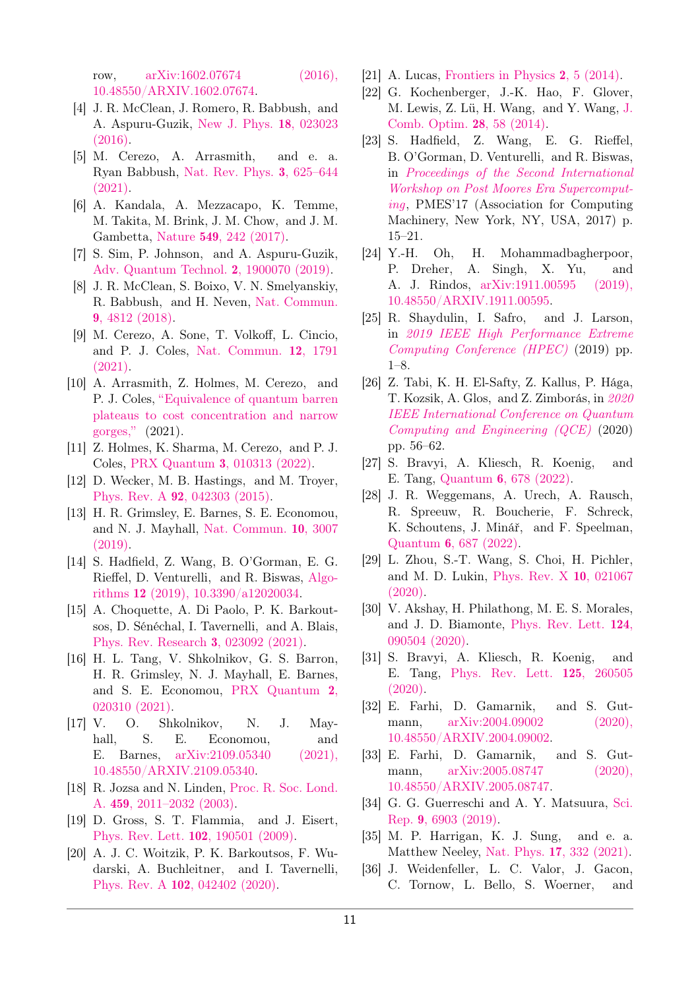row, [arXiv:1602.07674 \(2016\),](https://doi.org/10.48550/ARXIV.1602.07674) [10.48550/ARXIV.1602.07674.](https://doi.org/10.48550/ARXIV.1602.07674)

- [4] J. R. McClean, J. Romero, R. Babbush, and A. Aspuru-Guzik, [New J. Phys.](https://doi.org/10.1088/1367-2630/18/2/023023) 18, 023023 [\(2016\).](https://doi.org/10.1088/1367-2630/18/2/023023)
- <span id="page-10-0"></span>[5] M. Cerezo, A. Arrasmith, and e. a. Ryan Babbush, [Nat. Rev. Phys.](https://doi.org/10.1038/s42254-021-00348-9) 3, 625–644 [\(2021\).](https://doi.org/10.1038/s42254-021-00348-9)
- <span id="page-10-1"></span>[6] A. Kandala, A. Mezzacapo, K. Temme, M. Takita, M. Brink, J. M. Chow, and J. M. Gambetta, Nature 549[, 242 \(2017\).](https://doi.org/10.1038/nature23879)
- <span id="page-10-2"></span>[7] S. Sim, P. Johnson, and A. Aspuru-Guzik, [Adv. Quantum Technol.](https://doi.org/10.1002/qute.201900070) 2, 1900070 (2019).
- <span id="page-10-3"></span>[8] J. R. McClean, S. Boixo, V. N. Smelyanskiy, R. Babbush, and H. Neven, [Nat. Commun.](https://doi.org/10.1038/s41467-018-07090-4) 9[, 4812 \(2018\).](https://doi.org/10.1038/s41467-018-07090-4)
- <span id="page-10-19"></span>[9] M. Cerezo, A. Sone, T. Volkoff, L. Cincio, and P. J. Coles, [Nat. Commun.](https://doi.org/ 10.1038/s41467-021-21728-w) 12, 1791 [\(2021\).](https://doi.org/ 10.1038/s41467-021-21728-w)
- [10] A. Arrasmith, Z. Holmes, M. Cerezo, and P. J. Coles, ["Equivalence of quantum barren](https://doi.org/ 10.48550/ARXIV.2104.05868) [plateaus to cost concentration and narrow](https://doi.org/ 10.48550/ARXIV.2104.05868) [gorges,"](https://doi.org/ 10.48550/ARXIV.2104.05868) (2021).
- <span id="page-10-4"></span>[11] Z. Holmes, K. Sharma, M. Cerezo, and P. J. Coles, PRX Quantum 3[, 010313 \(2022\).](https://doi.org/ 10.1103/PRXQuantum.3.010313)
- <span id="page-10-5"></span>[12] D. Wecker, M. B. Hastings, and M. Troyer, Phys. Rev. A 92[, 042303 \(2015\).](https://doi.org/10.1103/PhysRevA.92.042303)
- <span id="page-10-7"></span>[13] H. R. Grimsley, E. Barnes, S. E. Economou, and N. J. Mayhall, [Nat. Commun.](https://doi.org/10.1038/s41467-019-10988-2) 10, 3007 [\(2019\).](https://doi.org/10.1038/s41467-019-10988-2)
- [14] S. Hadfield, Z. Wang, B. O'Gorman, E. G. Rieffel, D. Venturelli, and R. Biswas, [Algo](https://doi.org/ 10.3390/a12020034)rithms 12 [\(2019\), 10.3390/a12020034.](https://doi.org/ 10.3390/a12020034)
- <span id="page-10-6"></span>[15] A. Choquette, A. Di Paolo, P. K. Barkoutsos, D. Sénéchal, I. Tavernelli, and A. Blais, [Phys. Rev. Research](https://doi.org/ 10.1103/PhysRevResearch.3.023092) 3, 023092 (2021).
- <span id="page-10-8"></span>[16] H. L. Tang, V. Shkolnikov, G. S. Barron, H. R. Grimsley, N. J. Mayhall, E. Barnes, and S. E. Economou, [PRX Quantum](https://doi.org/ 10.1103/PRXQuantum.2.020310) 2, [020310 \(2021\).](https://doi.org/ 10.1103/PRXQuantum.2.020310)
- <span id="page-10-9"></span>[17] V. O. Shkolnikov, N. J. Mayhall, S. E. Economou, and E. Barnes, [arXiv:2109.05340 \(2021\),](https://doi.org/10.48550/ARXIV.2109.05340) [10.48550/ARXIV.2109.05340.](https://doi.org/10.48550/ARXIV.2109.05340)
- <span id="page-10-10"></span>[18] R. Jozsa and N. Linden, [Proc. R. Soc. Lond.](https://doi.org/10.1098/rspa.2002.1097) A. 459[, 2011–2032 \(2003\).](https://doi.org/10.1098/rspa.2002.1097)
- [19] D. Gross, S. T. Flammia, and J. Eisert, [Phys. Rev. Lett.](https://doi.org/10.1103/PhysRevLett.102.190501) 102, 190501 (2009).
- <span id="page-10-11"></span>[20] A. J. C. Woitzik, P. K. Barkoutsos, F. Wudarski, A. Buchleitner, and I. Tavernelli, Phys. Rev. A 102[, 042402 \(2020\).](https://doi.org/ 10.1103/PhysRevA.102.042402)
- <span id="page-10-12"></span>[21] A. Lucas, [Frontiers in Physics](https://doi.org/10.3389/fphy.2014.00005) 2, 5 (2014).
- [22] G. Kochenberger, J.-K. Hao, F. Glover, M. Lewis, Z. Lü, H. Wang, and Y. Wang, [J.](https://doi.org/ 10.1007/s10878-014-9734-0) [Comb. Optim.](https://doi.org/ 10.1007/s10878-014-9734-0) 28, 58 (2014).
- [23] S. Hadfield, Z. Wang, E. G. Rieffel, B. O'Gorman, D. Venturelli, and R. Biswas, in [Proceedings of the Second International](https://doi.org/ 10.1145/3149526.3149530) [Workshop on Post Moores Era Supercomput](https://doi.org/ 10.1145/3149526.3149530)[ing](https://doi.org/ 10.1145/3149526.3149530), PMES'17 (Association for Computing Machinery, New York, NY, USA, 2017) p. 15–21.
- [24] Y.-H. Oh, H. Mohammadbagherpoor, P. Dreher, A. Singh, X. Yu, and A. J. Rindos, [arXiv:1911.00595 \(2019\),](https://doi.org/ 10.48550/ARXIV.1911.00595) [10.48550/ARXIV.1911.00595.](https://doi.org/ 10.48550/ARXIV.1911.00595)
- <span id="page-10-18"></span>[25] R. Shaydulin, I. Safro, and J. Larson, in [2019 IEEE High Performance Extreme](https://doi.org/10.1109/HPEC.2019.8916288) [Computing Conference \(HPEC\)](https://doi.org/10.1109/HPEC.2019.8916288) (2019) pp. 1–8.
- [26] Z. Tabi, K. H. El-Safty, Z. Kallus, P. Hága, T. Kozsik, A. Glos, and Z. Zimborás, in [2020](https://doi.org/ 10.1109/QCE49297.2020.00018) [IEEE International Conference on Quantum](https://doi.org/ 10.1109/QCE49297.2020.00018) [Computing and Engineering \(QCE\)](https://doi.org/ 10.1109/QCE49297.2020.00018) (2020) pp. 56–62.
- [27] S. Bravyi, A. Kliesch, R. Koenig, and E. Tang, Quantum 6[, 678 \(2022\).](https://doi.org/ 10.48550/ARXIV.2011.13420)
- <span id="page-10-13"></span>[28] J. R. Weggemans, A. Urech, A. Rausch, R. Spreeuw, R. Boucherie, F. Schreck, K. Schoutens, J. Minář, and F. Speelman, Quantum 6[, 687 \(2022\).](https://doi.org/10.48550/ARXIV.2106.11672)
- <span id="page-10-14"></span>[29] L. Zhou, S.-T. Wang, S. Choi, H. Pichler, and M. D. Lukin, [Phys. Rev. X](https://doi.org/ 10.1103/PhysRevX.10.021067) 10, 021067 [\(2020\).](https://doi.org/ 10.1103/PhysRevX.10.021067)
- [30] V. Akshay, H. Philathong, M. E. S. Morales, and J. D. Biamonte, [Phys. Rev. Lett.](https://doi.org/10.1103/PhysRevLett.124.090504) 124, [090504 \(2020\).](https://doi.org/10.1103/PhysRevLett.124.090504)
- [31] S. Bravyi, A. Kliesch, R. Koenig, and E. Tang, [Phys. Rev. Lett.](https://doi.org/ 10.1103/PhysRevLett.125.260505) 125, 260505 [\(2020\).](https://doi.org/ 10.1103/PhysRevLett.125.260505)
- [32] E. Farhi, D. Gamarnik, and S. Gutmann, [arXiv:2004.09002 \(2020\),](https://doi.org/10.48550/ARXIV.2004.09002) [10.48550/ARXIV.2004.09002.](https://doi.org/10.48550/ARXIV.2004.09002)
- <span id="page-10-15"></span>[33] E. Farhi, D. Gamarnik, and S. Gutmann, [arXiv:2005.08747 \(2020\),](https://doi.org/10.48550/ARXIV.2005.08747) [10.48550/ARXIV.2005.08747.](https://doi.org/10.48550/ARXIV.2005.08747)
- <span id="page-10-16"></span>[34] G. G. Guerreschi and A. Y. Matsuura, [Sci.](https://doi.org/10.1038/s41598-019-43176-9) Rep. 9[, 6903 \(2019\).](https://doi.org/10.1038/s41598-019-43176-9)
- [35] M. P. Harrigan, K. J. Sung, and e. a. Matthew Neeley, Nat. Phys. 17[, 332 \(2021\).](https://doi.org/10.1038/s41567-020-01105-y)
- <span id="page-10-17"></span>[36] J. Weidenfeller, L. C. Valor, J. Gacon, C. Tornow, L. Bello, S. Woerner, and